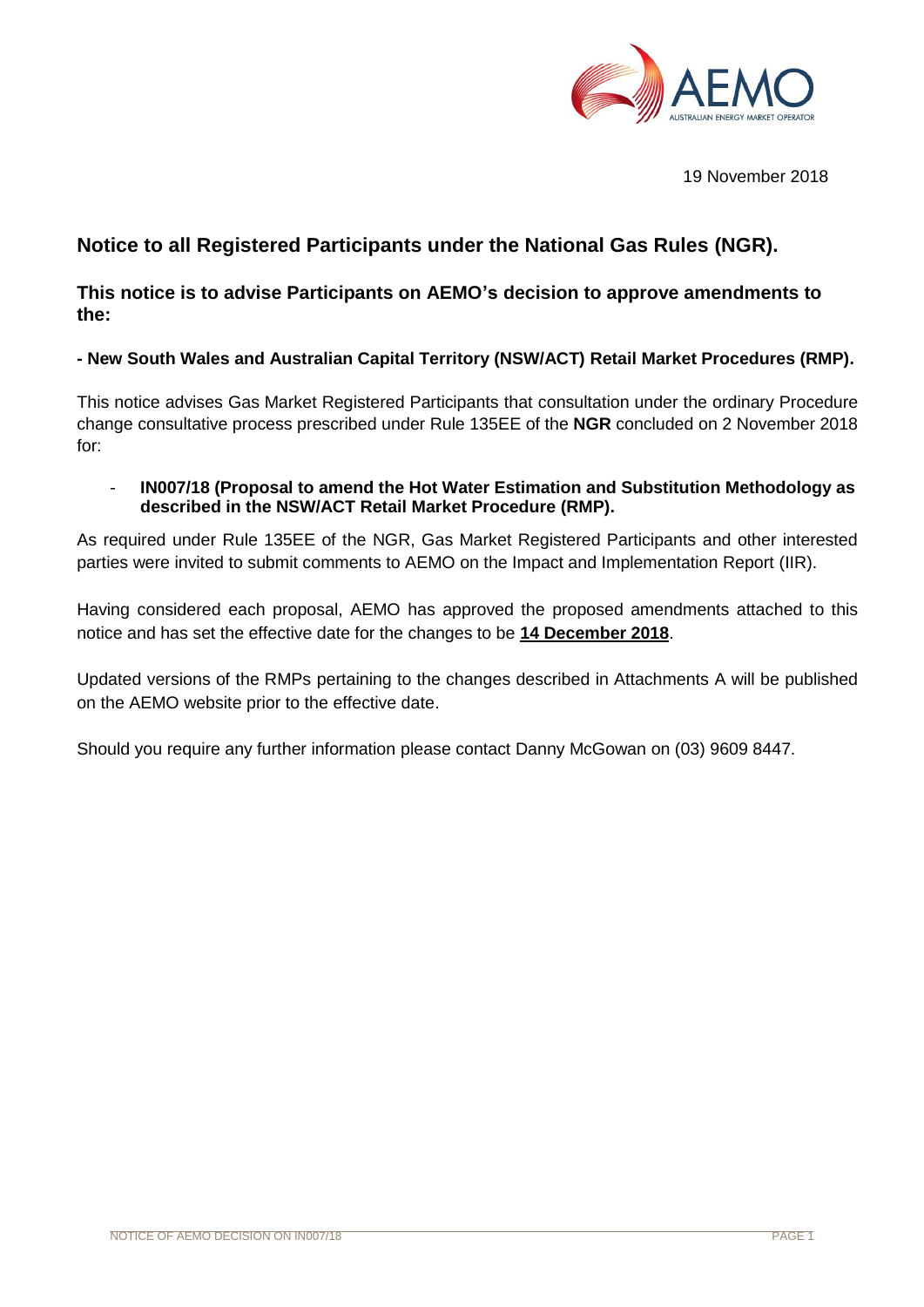

19 November 2018

# **Notice to all Registered Participants under the National Gas Rules (NGR).**

**This notice is to advise Participants on AEMO's decision to approve amendments to the:** 

## **- New South Wales and Australian Capital Territory (NSW/ACT) Retail Market Procedures (RMP).**

This notice advises Gas Market Registered Participants that consultation under the ordinary Procedure change consultative process prescribed under Rule 135EE of the **NGR** concluded on 2 November 2018 for:

- **IN007/18 (Proposal to amend the Hot Water Estimation and Substitution Methodology as described in the NSW/ACT Retail Market Procedure (RMP).**

As required under Rule 135EE of the NGR, Gas Market Registered Participants and other interested parties were invited to submit comments to AEMO on the Impact and Implementation Report (IIR).

Having considered each proposal, AEMO has approved the proposed amendments attached to this notice and has set the effective date for the changes to be **14 December 2018**.

Updated versions of the RMPs pertaining to the changes described in Attachments A will be published on the AEMO website prior to the effective date.

Should you require any further information please contact Danny McGowan on (03) 9609 8447.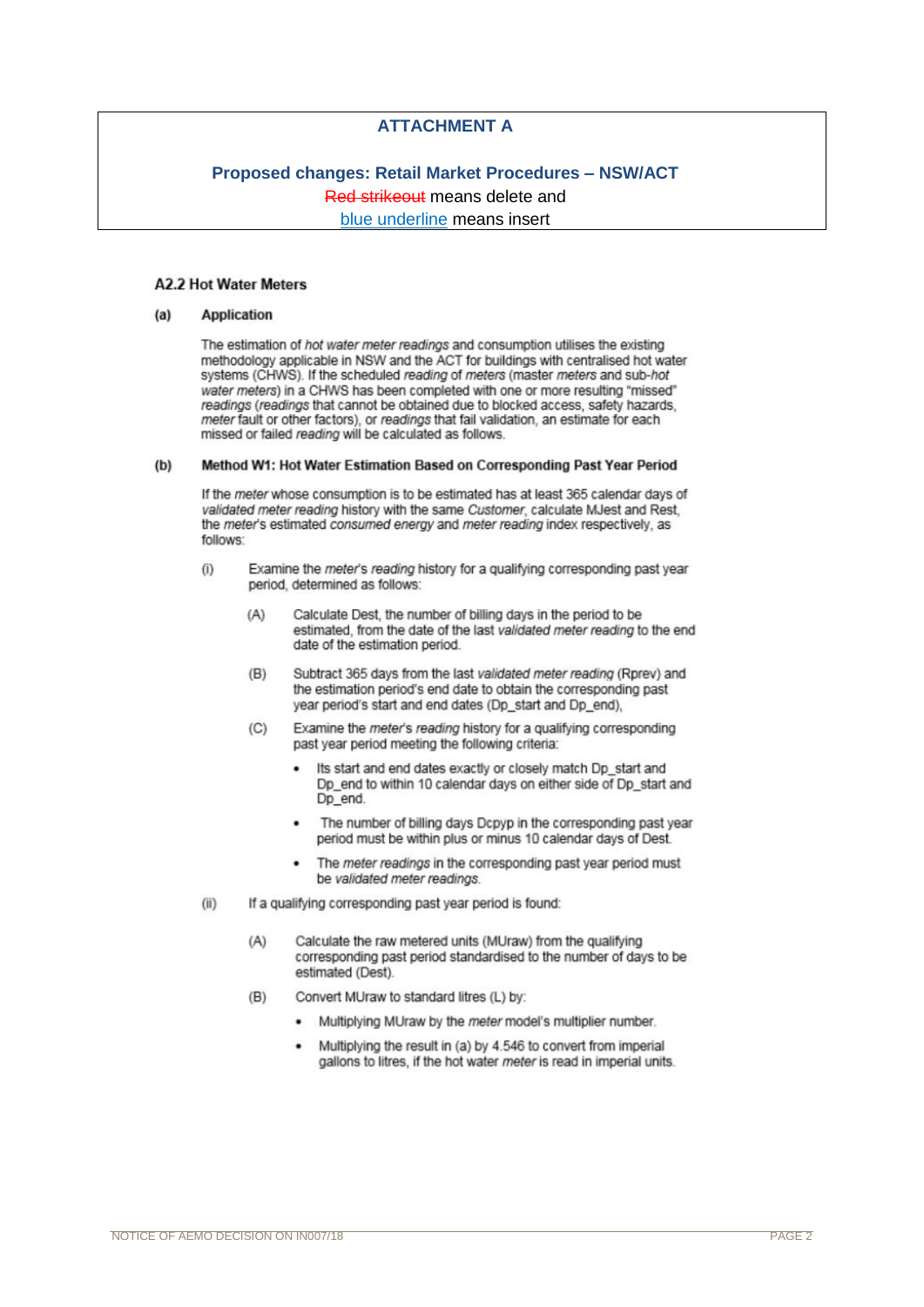## **ATTACHMENT A**

# **Proposed changes: Retail Market Procedures - NSW/ACT** Red strikeout means delete and

blue underline means insert

### **A2.2 Hot Water Meters**

#### $(a)$ **Application**

The estimation of hot water meter readings and consumption utilises the existing methodology applicable in NSW and the ACT for buildings with centralised hot water systems (CHWS). If the scheduled reading of meters (master meters and sub-hot water meters) in a CHWS has been completed with one or more resulting "missed" readings (readings that cannot be obtained due to blocked access, safety hazards, meter fault or other factors), or readings that fail validation, an estimate for each missed or failed reading will be calculated as follows.

#### $(b)$ Method W1: Hot Water Estimation Based on Corresponding Past Year Period

If the meter whose consumption is to be estimated has at least 365 calendar days of validated meter reading history with the same Customer, calculate MJest and Rest, the meter's estimated consumed energy and meter reading index respectively, as follows:

- $(i)$ Examine the meter's reading history for a qualifying corresponding past year period, determined as follows:
	- Calculate Dest, the number of billing days in the period to be  $(A)$ estimated, from the date of the last validated meter reading to the end date of the estimation period.
	- Subtract 365 days from the last validated meter reading (Rprev) and  $(B)$ the estimation period's end date to obtain the corresponding past year period's start and end dates (Dp\_start and Dp\_end),
	- Examine the meter's reading history for a qualifying corresponding  $(C)$ past year period meeting the following criteria:
		- Its start and end dates exactly or closely match Dp start and Dp\_end to within 10 calendar days on either side of Dp\_start and Dp end.
		- The number of billing days Dcpyp in the corresponding past year period must be within plus or minus 10 calendar days of Dest.
		- The meter readings in the corresponding past year period must be validated meter readings.
- $(ii)$ If a qualifying corresponding past year period is found:
	- $(A)$ Calculate the raw metered units (MUraw) from the qualifying corresponding past period standardised to the number of days to be estimated (Dest).
	- Convert MUraw to standard litres (L) by:  $(B)$ 
		- Multiplying MUraw by the meter model's multiplier number.
		- Multiplying the result in (a) by 4.546 to convert from imperial gallons to litres, if the hot water meter is read in imperial units.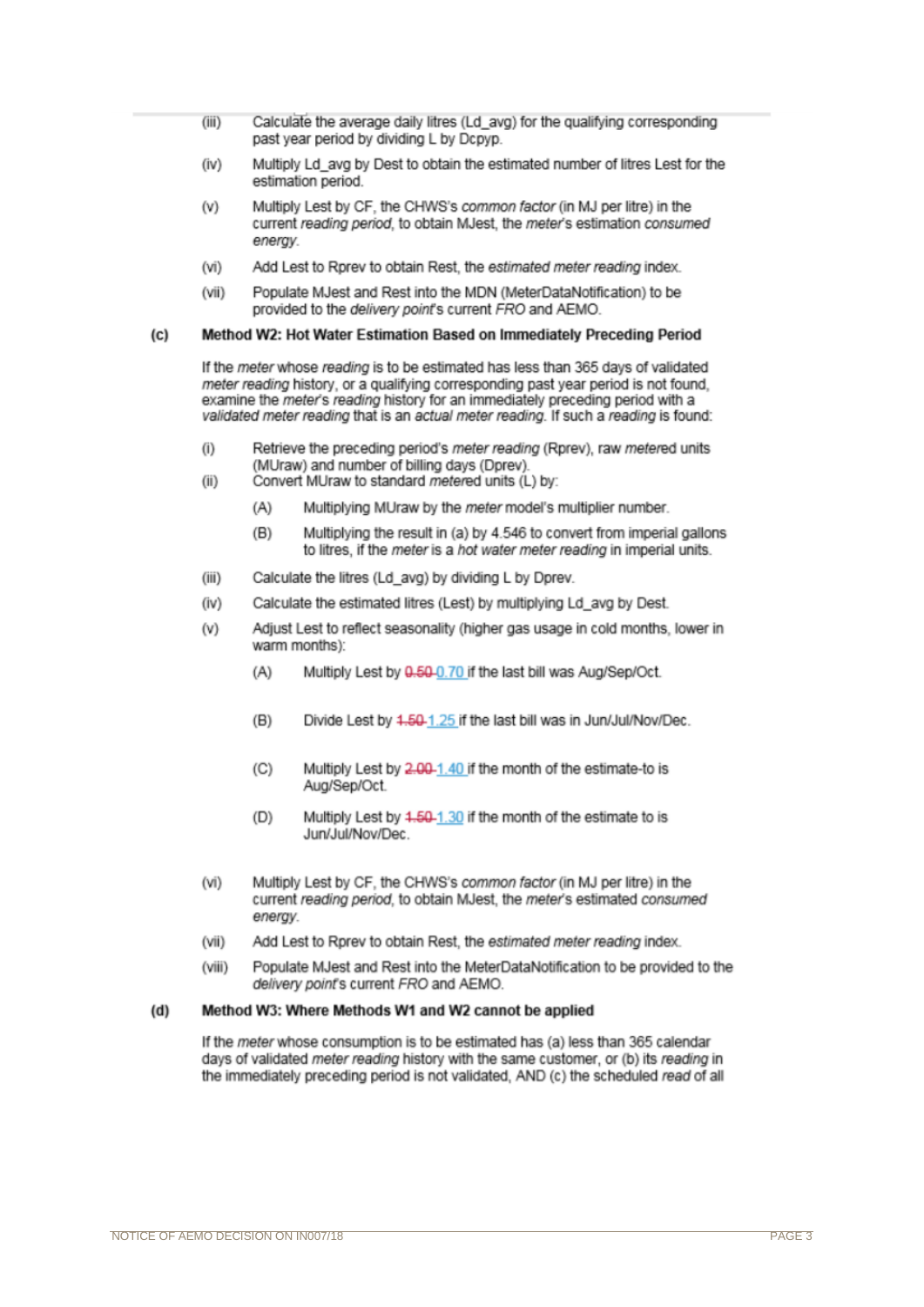- $(iii)$ Calculate the average daily litres (Ld avg) for the qualifying corresponding past year period by dividing L by Dcpyp.
- Multiply Ld\_avq by Dest to obtain the estimated number of litres Lest for the  $(iv)$ estimation period.
- Multiply Lest by CF, the CHWS's common factor (in MJ per litre) in the (V) current reading period, to obtain MJest, the meter's estimation consumed energy.
- $(vi)$ Add Lest to Rorey to obtain Rest, the estimated meter reading index.
- Populate MJest and Rest into the MDN (MeterDataNotification) to be  $(vii)$ provided to the delivery point's current FRO and AEMO.

#### Method W2: Hot Water Estimation Based on Immediately Preceding Period  $(c)$

If the meter whose reading is to be estimated has less than 365 days of validated meter reading history, or a qualifying corresponding past year period is not found. examine the meter's reading history for an immediately preceding period with a validated meter reading that is an actual meter reading. If such a reading is found:

- $(i)$ Retrieve the preceding period's meter reading (Rprev), raw metered units (MUraw) and number of billing days (Dprev).
- $(ii)$ Convert MUraw to standard metered units (L) by:
	- $(A)$ Multiplying MUraw by the meter model's multiplier number.
	- $(B)$ Multiplying the result in (a) by 4.546 to convert from imperial gallons to litres. if the meter is a hot water meter reading in imperial units.
- $(iii)$ Calculate the litres (Ld avg) by dividing L by Dprev.
- Calculate the estimated litres (Lest) by multiplying Ld\_avg by Dest.  $(iv)$
- Adjust Lest to reflect seasonality (higher gas usage in cold months, lower in  $(v)$ warm months):
	- Multiply Lest by 0.50-0.70 if the last bill was Aug/Sep/Oct.  $(A)$
	- $(B)$ Divide Lest by 4,50-1,25 if the last bill was in Jun/Jul/Nov/Dec.
	- Multiply Lest by 2.00-1.40 if the month of the estimate-to is  $(C)$ Aug/Sep/Oct.
	- Multiply Lest by 4.50-1.30 if the month of the estimate to is  $(D)$ Jun/Jul/Nov/Dec
- Multiply Lest by CF, the CHWS's common factor (in MJ per litre) in the  $(vi)$ current reading period, to obtain MJest, the meter's estimated consumed energy.
- Add Lest to Rprev to obtain Rest, the estimated meter reading index.  $(vii)$
- $(viii)$ Populate MJest and Rest into the MeterDataNotification to be provided to the delivery point's current FRO and AEMO.

#### Method W3: Where Methods W1 and W2 cannot be applied  $(d)$

If the meter whose consumption is to be estimated has (a) less than 365 calendar days of validated meter reading history with the same customer, or (b) its reading in the immediately preceding period is not validated, AND (c) the scheduled read of all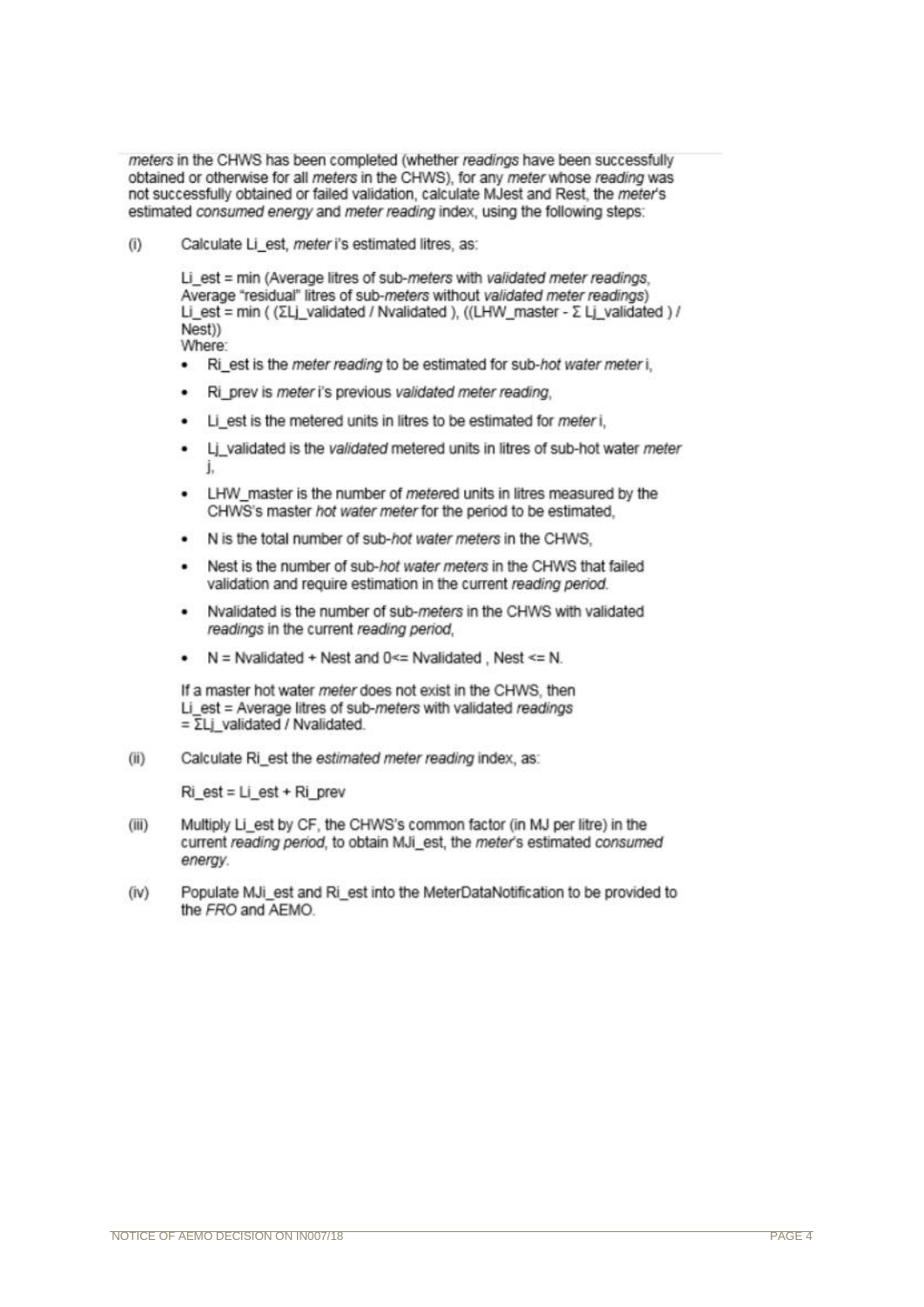meters in the CHWS has been completed (whether readings have been successfully obtained or otherwise for all meters in the CHWS), for any meter whose reading was not successfully obtained or failed validation, calculate MJest and Rest. the meter's estimated consumed energy and meter reading index, using the following steps:

 $(i)$ Calculate Li est, meter i's estimated litres, as:

> Li est = min (Average litres of sub-meters with validated meter readings, Average "residual" litres of sub-meters without validated meter readings) Li est = min (  $(\Sigma L)$  validated / Nvalidated ), ((LHW master -  $\Sigma L$  validated ) / Nest)) Where:

- Ri est is the meter reading to be estimated for sub-hot water meter i.
- Ri prev is meter i's previous validated meter reading.
- Li est is the metered units in litres to be estimated for meter i.
- Li validated is the validated metered units in litres of sub-hot water meter i.
- LHW master is the number of metered units in litres measured by the CHWS's master hot water meter for the period to be estimated.
- N is the total number of sub-hot water meters in the CHWS.
- Nest is the number of sub-hot water meters in the CHWS that failed validation and require estimation in the current reading period.
- Nvalidated is the number of sub-meters in the CHWS with validated readings in the current reading period.
- $N =$  Nvalidated + Nest and 0<= Nvalidated . Nest <= N.

If a master hot water meter does not exist in the CHWS, then Li est = Average litres of sub-meters with validated readings  $=\overline{\Sigma}$ Li validated / Nvalidated

 $(ii)$ Calculate Ri est the estimated meter reading index, as:

 $Ri$  est = Li est + Ri prev

- Multiply Li est by CF, the CHWS's common factor (in MJ per litre) in the  $(iii)$ current reading period, to obtain MJi est, the meter's estimated consumed energy.
- Populate MJi est and Ri est into the MeterDataNotification to be provided to  $(iv)$ the FRO and AEMO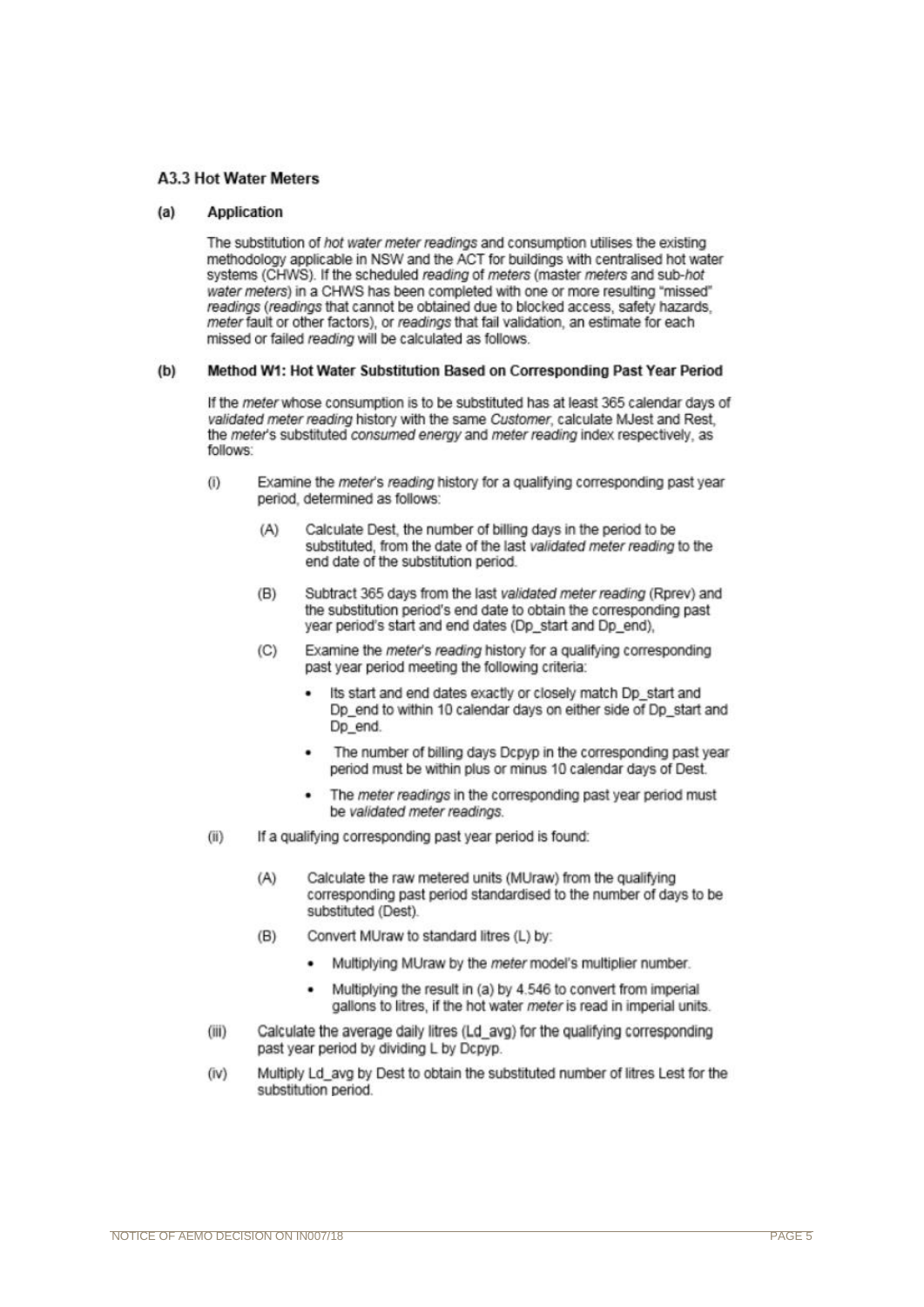### **A3.3 Hot Water Meters**

#### **Application**  $(a)$

The substitution of hot water meter readings and consumption utilises the existing methodology applicable in NSW and the ACT for buildings with centralised hot water systems (CHWS). If the scheduled reading of meters (master meters and sub-hot water meters) in a CHWS has been completed with one or more resulting "missed" readings (readings that cannot be obtained due to blocked access, safety hazards meter fault or other factors), or readings that fail validation, an estimate for each missed or failed reading will be calculated as follows.

#### $(b)$ Method W1: Hot Water Substitution Based on Corresponding Past Year Period

If the meter whose consumption is to be substituted has at least 365 calendar days of validated meter reading history with the same Customer, calculate MJest and Rest the meter's substituted consumed energy and meter reading index respectively, as follows:

- $(1)$ Examine the meter's reading history for a qualifying corresponding past year period, determined as follows:
	- Calculate Dest, the number of billing days in the period to be  $(A)$ substituted, from the date of the last validated meter reading to the end date of the substitution period.
	- $(B)$ Subtract 365 days from the last validated meter reading (Rprey) and the substitution period's end date to obtain the corresponding past year period's start and end dates (Dp\_start and Dp\_end),
	- Examine the meter's reading history for a qualifying corresponding  $(C)$ past year period meeting the following criteria:
		- Its start and end dates exactly or closely match Dp start and Dp end to within 10 calendar days on either side of Dp start and Dp end.
		- The number of billing days Dcpyp in the corresponding past year period must be within plus or minus 10 calendar days of Dest.
		- The meter readings in the corresponding past year period must be validated meter readings.
- $(ii)$ If a qualifying corresponding past year period is found:
	- $(A)$ Calculate the raw metered units (MUraw) from the qualifying corresponding past period standardised to the number of days to be substituted (Dest).
	- $(B)$ Convert MUraw to standard litres (L) by:
		- Multiplying MUraw by the meter model's multiplier number.
		- Multiplying the result in (a) by 4.546 to convert from imperial gallons to litres, if the hot water meter is read in imperial units.
- $(iii)$ Calculate the average daily litres (Ld avg) for the qualifying corresponding past year period by dividing L by Dcpyp.
- Multiply Ld avg by Dest to obtain the substituted number of litres Lest for the  $(iv)$ substitution period.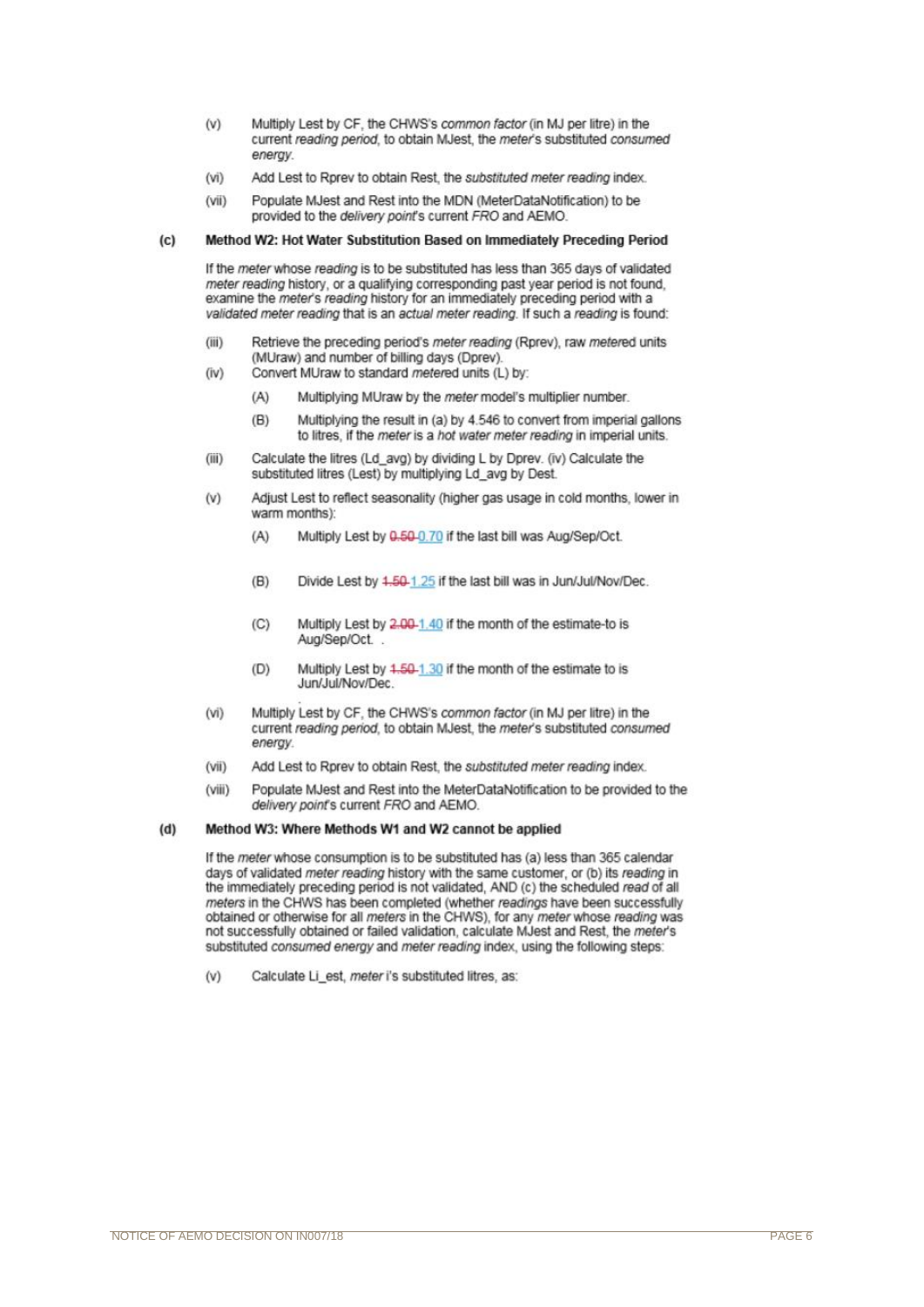- Multiply Lest by CF, the CHWS's common factor (in MJ per litre) in the  $(V)$ current reading period, to obtain MJest, the meter's substituted consumed energy
- Add Lest to Rprev to obtain Rest, the substituted meter reading index.  $(vi)$
- Populate MJest and Rest into the MDN (MeterDataNotification) to be  $(vii)$ provided to the delivery point's current FRO and AEMO.

#### Method W2: Hot Water Substitution Based on Immediately Preceding Period  $(c)$

If the meter whose reading is to be substituted has less than 365 days of validated meter reading history, or a qualifying corresponding past year period is not found, examine the meter's reading history for an immediately preceding period with a validated meter reading that is an actual meter reading. If such a reading is found:

- $(iii)$ Retrieve the preceding period's meter reading (Rprev), raw metered units (MUraw) and number of billing days (Dprev).
- Convert MUraw to standard metered units (L) by:  $(iv)$ 
	- $(A)$ Multiplying MUraw by the meter model's multiplier number.
	- Multiplying the result in (a) by 4.546 to convert from imperial gallons  $(B)$ to litres, if the meter is a hot water meter reading in imperial units.
- $(iii)$ Calculate the litres (Ld avg) by dividing L by Dprev. (iv) Calculate the substituted litres (Lest) by multiplying Ld avg by Dest.
- Adjust Lest to reflect seasonality (higher gas usage in cold months, lower in  $(v)$ warm months):
	- Multiply Lest by 0.50-0.70 if the last bill was Aug/Sep/Oct.  $(A)$
	- $(B)$ Divide Lest by 4,50-1,25 if the last bill was in Jun/Jul/Nov/Dec.
	- $(C)$ Multiply Lest by 2.00-1.40 if the month of the estimate-to is Aug/Sep/Oct.
	- $(D)$ Multiply Lest by 4.50-1.30 if the month of the estimate to is Jun/Jul/Nov/Dec.
- Multiply Lest by CF, the CHWS's common factor (in MJ per litre) in the  $(vi)$ current reading period, to obtain MJest, the meter's substituted consumed energy
- $(vii)$ Add Lest to Rprev to obtain Rest, the substituted meter reading index.
- Populate MJest and Rest into the MeterDataNotification to be provided to the  $(viii)$ delivery point's current FRO and AEMO.

#### $(d)$ Method W3: Where Methods W1 and W2 cannot be applied

If the meter whose consumption is to be substituted has (a) less than 365 calendar days of validated meter reading history with the same customer, or (b) its reading in the immediately preceding period is not validated. AND (c) the scheduled read of all meters in the CHWS has been completed (whether readings have been successfully obtained or otherwise for all meters in the CHWS), for any meter whose reading was not successfully obtained or failed validation, calculate MJest and Rest, the meter's substituted consumed energy and meter reading index, using the following steps:

 $(v)$ Calculate Li est, meter i's substituted litres, as: